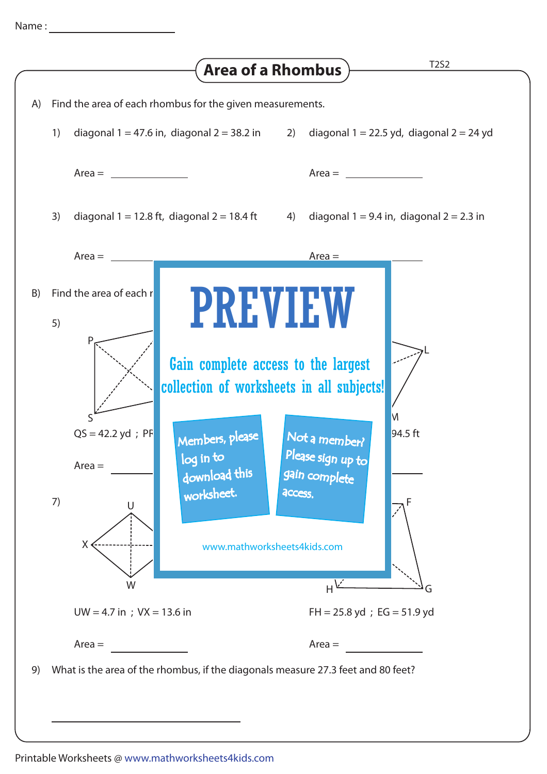